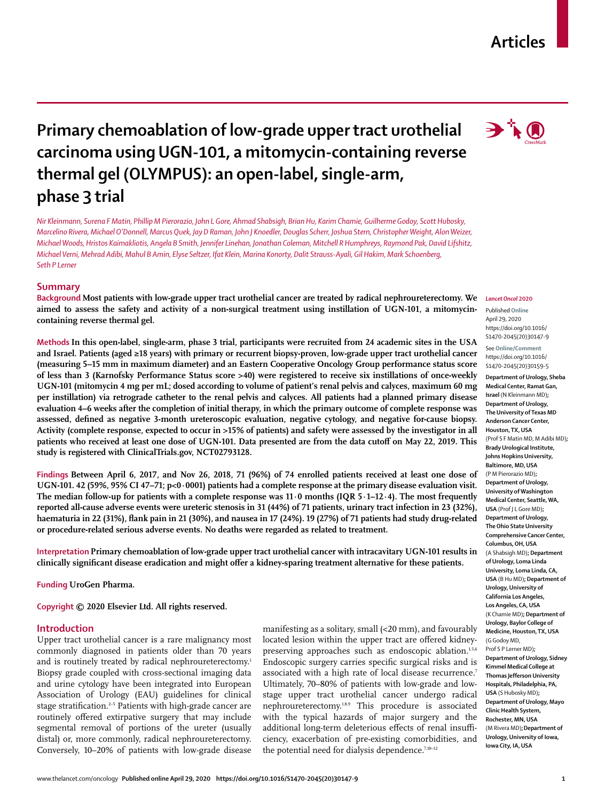## www.thelancet.com/oncology **Published online April 29, 2020 https://doi.org/10.1016/S1470-2045(20)30147-9 1**

# **Primary chemoablation of low-grade upper tract urothelial carcinoma using UGN-101, a mitomycin-containing reverse thermal gel (OLYMPUS): an open-label, single-arm, phase 3 trial**

*Nir Kleinmann, Surena F Matin, Phillip M Pierorazio, John L Gore, Ahmad Shabsigh, Brian Hu, Karim Chamie, Guilherme Godoy, Scott Hubosky, Marcelino Rivera, Michael O'Donnell, Marcus Quek, Jay D Raman, John J Knoedler, Douglas Scherr, Joshua Stern, Christopher Weight, Alon Weizer, Michael Woods, Hristos Kaimakliotis, Angela B Smith, Jennifer Linehan, Jonathan Coleman, Mitchell R Humphreys, Raymond Pak, David Lifshitz, Michael Verni, Mehrad Adibi, Mahul B Amin, Elyse Seltzer, Ifat Klein, Marina Konorty, Dalit Strauss-Ayali, Gil Hakim, Mark Schoenberg, Seth P Lerner*

# **Summary**

**Background Most patients with low-grade upper tract urothelial cancer are treated by radical nephroureterectomy. We aimed to assess the safety and activity of a non-surgical treatment using instillation of UGN-101, a mitomycincontaining reverse thermal gel.**

**Methods In this open-label, single-arm, phase 3 trial, participants were recruited from 24 academic sites in the USA and Israel. Patients (aged ≥18 years) with primary or recurrent biopsy-proven, low-grade upper tract urothelial cancer (measuring 5–15 mm in maximum diameter) and an Eastern Cooperative Oncology Group performance status score of less than 3 (Karnofsky Performance Status score >40) were registered to receive six instillations of once-weekly UGN-101 (mitomycin 4 mg per mL; dosed according to volume of patient's renal pelvis and calyces, maximum 60 mg per instillation) via retrograde catheter to the renal pelvis and calyces. All patients had a planned primary disease evaluation 4–6 weeks after the completion of initial therapy, in which the primary outcome of complete response was assessed, defined as negative 3-month ureteroscopic evaluation, negative cytology, and negative for-cause biopsy. Activity (complete response, expected to occur in >15% of patients) and safety were assessed by the investigator in all patients who received at least one dose of UGN-101. Data presented are from the data cutoff on May 22, 2019. This study is registered with ClinicalTrials.gov, NCT02793128.**

**Findings Between April 6, 2017, and Nov 26, 2018, 71 (96%) of 74 enrolled patients received at least one dose of UGN-101. 42 (59%, 95% CI 47–71; p<0·0001) patients had a complete response at the primary disease evaluation visit. The median follow-up for patients with a complete response was 11·0 months (IQR 5·1–12·4). The most frequently reported all-cause adverse events were ureteric stenosis in 31 (44%) of 71 patients, urinary tract infection in 23 (32%), haematuria in 22 (31%), flank pain in 21 (30%), and nausea in 17 (24%). 19 (27%) of 71 patients had study drug-related or procedure-related serious adverse events. No deaths were regarded as related to treatment.**

**Interpretation Primary chemoablation of low-grade upper tract urothelial cancer with intracavitary UGN-101 results in clinically significant disease eradication and might offer a kidney-sparing treatment alternative for these patients.**

**Funding UroGen Pharma.**

**Copyright © 2020 Elsevier Ltd. All rights reserved.**

# **Introduction**

Upper tract urothelial cancer is a rare malignancy most commonly diagnosed in patients older than 70 years and is routinely treated by radical nephroureterectomy.<sup>1</sup> Biopsy grade coupled with cross-sectional imaging data and urine cytology have been integrated into European Association of Urology (EAU) guidelines for clinical stage stratification.<sup>2-5</sup> Patients with high-grade cancer are routinely offered extirpative surgery that may include segmental removal of portions of the ureter (usually distal) or, more commonly, radical nephroureterectomy. Conversely, 10–20% of patients with low-grade disease manifesting as a solitary, small (<20 mm), and favourably located lesion within the upper tract are offered kidneypreserving approaches such as endoscopic ablation.<sup>1,5,6</sup> Endoscopic surgery carries specific surgical risks and is associated with a high rate of local disease recurrence.7 Ultimately, 70–80% of patients with low-grade and lowstage upper tract urothelial cancer undergo radical nephroureterectomy.<sup>1,8,9</sup> This procedure is associated with the typical hazards of major surgery and the additional long-term deleterious effects of renal insufficiency, exacerbation of pre-existing comorbidities, and the potential need for dialysis dependence. $7,10-12$ 

#### *Lancet Oncol* **2020**

Published **Online** April 29, 2020 https://doi.org/10.1016/ S1470-2045(20)30147-9

See **Online/Comment** https://doi.org/10.1016/ S1470-2045(20)30159-5

**Department of Urology, Sheba Medical Center, Ramat Gan, Israel** (N Kleinmann MD)**; Department of Urology, The University of Texas MD Anderson Cancer Center, Houston, TX, USA** (Prof S F Matin MD, M Adibi MD)**; Brady Urological Institute, Johns Hopkins University, Baltimore, MD, USA** (P M Pierorazio MD)**; Department of Urology, University of Washington Medical Center, Seattle, WA, USA** (Prof J L Gore MD)**; Department of Urology, The Ohio State University Comprehensive Cancer Center, Columbus, OH, USA** (A Shabsigh MD)**; Department of Urology, Loma Linda University, Loma Linda, CA, USA** (B Hu MD)**; Department of Urology, University of California Los Angeles, Los Angeles, CA, USA** (K Chamie MD)**; Department of Urology, Baylor College of Medicine, Houston, TX, USA** (G Godoy MD, Prof S P Lerner MD)**; Department of Urology, Sidney Kimmel Medical College at Thomas Jefferson University Hospitals, Philadelphia, PA, USA** (S Hubosky MD)**; Department of Urology, Mayo Clinic Health System, Rochester, MN, USA** (M Rivera MD)**;Department of Urology, University of Iowa, Iowa City, IA, USA**



**Articles**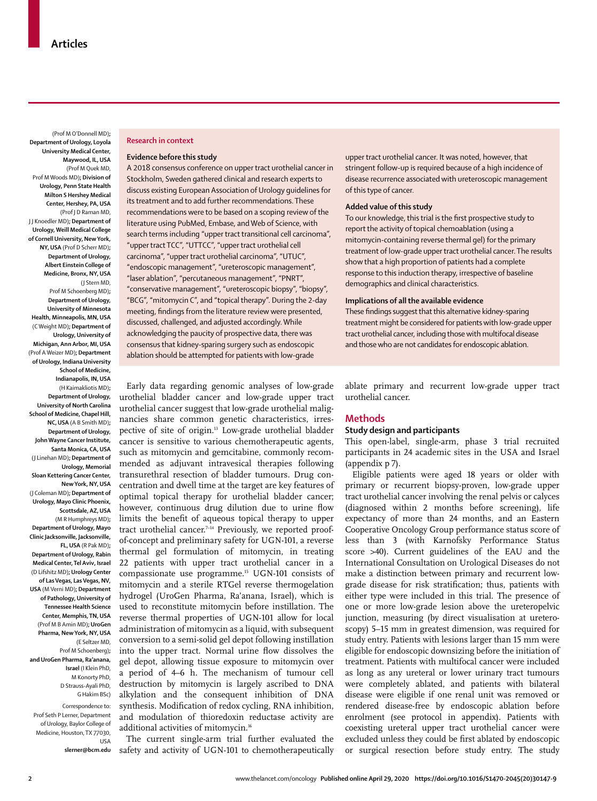(Prof M O'Donnell MD)**; Department of Urology, Loyola University Medical Center, Maywood, IL, USA** (Prof M Quek MD, Prof M Woods MD)**; Division of Urology, Penn State Health Milton S Hershey Medical Center, Hershey, PA, USA** (Prof J D Raman MD, J J Knoedler MD)**; Department of Urology, Weill Medical College of Cornell University, New York, NY, USA** (Prof D Scherr MD)**; Department of Urology, Albert Einstein College of Medicine, Bronx, NY, USA** (J Stern MD, Prof M Schoenberg MD)**; Department of Urology, University of Minnesota Health, Minneapolis, MN, USA** (C Weight MD)**; Department of Urology, University of Michigan, Ann Arbor, MI, USA** (Prof A Weizer MD)**; Department of Urology, Indiana University School of Medicine, Indianapolis, IN, USA** (H Kaimakliotis MD)**; Department of Urology, University of North Carolina School of Medicine, Chapel Hill, NC, USA** (A B Smith MD)**; Department of Urology, John Wayne Cancer Institute, Santa Monica, CA, USA** (J Linehan MD)**; Department of Urology, Memorial Sloan Kettering Cancer Center, New York, NY, USA** (J Coleman MD)**; Department of Urology, Mayo Clinic Phoenix, Scottsdale, AZ, USA** (M R Humphreys MD)**; Department of Urology, Mayo Clinic Jacksonville, Jacksonville, FL, USA** (R Pak MD)**; Department of Urology, Rabin Medical Center, Tel Aviv, Israel** (D Lifshitz MD)**; Urology Center of Las Vegas, Las Vegas, NV, USA** (M Verni MD)**; Department of Pathology, University of Tennessee Health Science Center, Memphis, TN, USA** (Prof M B Amin MD)**; UroGen Pharma, New York, NY, USA** (E Seltzer MD, Prof M Schoenberg)**; and UroGen Pharma, Ra'anana, Israel** (I Klein PhD, M Konorty PhD, D Strauss-Ayali PhD, G Hakim BSc)

Correspondence to: Prof Seth P Lerner, Department of Urology, Baylor College of Medicine, Houston, TX 77030, USA

**slerner@bcm.edu**

#### **Research in context**

#### **Evidence before this study**

A 2018 consensus conference on upper tract urothelial cancer in Stockholm, Sweden gathered clinical and research experts to discuss existing European Association of Urology guidelines for its treatment and to add further recommendations. These recommendations were to be based on a scoping review of the literature using PubMed, Embase, and Web of Science, with search terms including "upper tract transitional cell carcinoma", "upper tract TCC", "UTTCC", "upper tract urothelial cell carcinoma", "upper tract urothelial carcinoma", "UTUC", "endoscopic management", "ureteroscopic management", "laser ablation", "percutaneous management", "PNRT", "conservative management", "ureteroscopic biopsy", "biopsy", "BCG", "mitomycin C", and "topical therapy". During the 2-day meeting, findings from the literature review were presented, discussed, challenged, and adjusted accordingly. While acknowledging the paucity of prospective data, there was consensus that kidney-sparing surgery such as endoscopic ablation should be attempted for patients with low-grade

Early data regarding genomic analyses of low-grade urothelial bladder cancer and low-grade upper tract urothelial cancer suggest that low-grade urothelial malignancies share common genetic characteristics, irrespective of site of origin.13 Low-grade urothelial bladder cancer is sensitive to various chemotherapeutic agents, such as mitomycin and gemcitabine, commonly recommended as adjuvant intravesical therapies following transurethral resection of bladder tumours. Drug concentration and dwell time at the target are key features of optimal topical therapy for urothelial bladder cancer; however, continuous drug dilution due to urine flow limits the benefit of aqueous topical therapy to upper tract urothelial cancer.<sup>7-14</sup> Previously, we reported proofof-concept and preliminary safety for UGN-101, a reverse thermal gel formulation of mitomycin, in treating 22 patients with upper tract urothelial cancer in a compassionate use programme.<sup>15</sup> UGN-101 consists of mitomycin and a sterile RTGel reverse thermogelation hydrogel (UroGen Pharma, Ra'anana, Israel), which is used to reconstitute mitomycin before instillation. The reverse thermal properties of UGN-101 allow for local administration of mitomycin as a liquid, with subsequent conversion to a semi-solid gel depot following instillation into the upper tract. Normal urine flow dissolves the gel depot, allowing tissue exposure to mitomycin over a period of 4–6 h. The mechanism of tumour cell destruction by mitomycin is largely ascribed to DNA alkylation and the consequent inhibition of DNA synthesis. Modification of redox cycling, RNA inhibition, and modulation of thioredoxin reductase activity are additional activities of mitomycin.<sup>16</sup>

The current single-arm trial further evaluated the safety and activity of UGN-101 to chemotherapeutically upper tract urothelial cancer. It was noted, however, that stringent follow-up is required because of a high incidence of disease recurrence associated with ureteroscopic management of this type of cancer.

#### **Added value of this study**

To our knowledge, this trial is the first prospective study to report the activity of topical chemoablation (using a mitomycin-containing reverse thermal gel) for the primary treatment of low-grade upper tract urothelial cancer. The results show that a high proportion of patients had a complete response to this induction therapy, irrespective of baseline demographics and clinical characteristics.

#### **Implications of all the available evidence**

These findings suggest that this alternative kidney-sparing treatment might be considered for patients with low-grade upper tract urothelial cancer, including those with multifocal disease and those who are not candidates for endoscopic ablation.

ablate primary and recurrent low-grade upper tract urothelial cancer.

# **Methods**

# **Study design and participants**

This open-label, single-arm, phase 3 trial recruited participants in 24 academic sites in the USA and Israel (appendix p 7).

Eligible patients were aged 18 years or older with primary or recurrent biopsy-proven, low-grade upper tract urothelial cancer involving the renal pelvis or calyces (diagnosed within 2 months before screening), life expectancy of more than 24 months, and an Eastern Cooperative Oncology Group performance status score of less than 3 (with Karnofsky Performance Status score >40). Current guidelines of the EAU and the International Consultation on Urological Diseases do not make a distinction between primary and recurrent lowgrade disease for risk stratification; thus, patients with either type were included in this trial. The presence of one or more low-grade lesion above the ureteropelvic junction, measuring (by direct visualisation at ureteroscopy) 5–15 mm in greatest dimension, was required for study entry. Patients with lesions larger than 15 mm were eligible for endoscopic downsizing before the initiation of treatment. Patients with multifocal cancer were included as long as any ureteral or lower urinary tract tumours were completely ablated, and patients with bilateral disease were eligible if one renal unit was removed or rendered disease-free by endoscopic ablation before enrolment (see protocol in appendix). Patients with coexisting ureteral upper tract urothelial cancer were excluded unless they could be first ablated by endoscopic or surgical resection before study entry. The study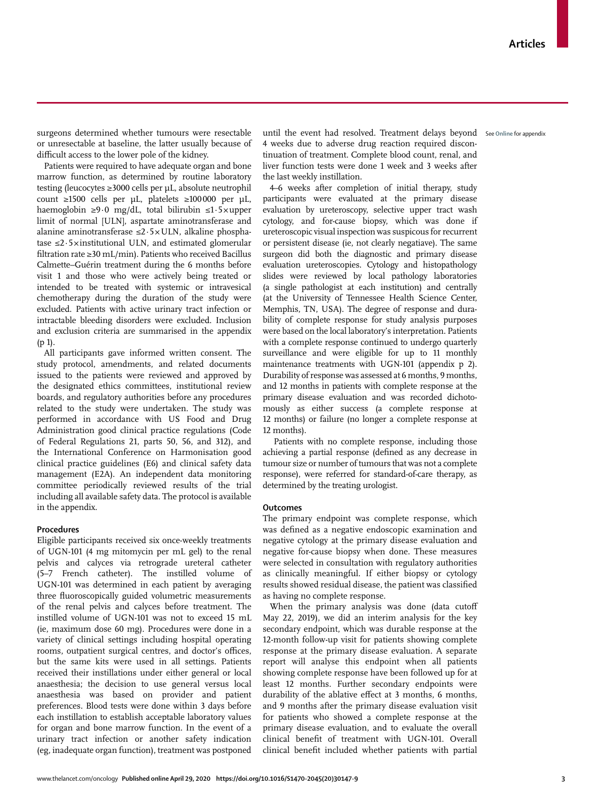or unresectable at baseline, the latter usually because of difficult access to the lower pole of the kidney.

Patients were required to have adequate organ and bone marrow function, as determined by routine laboratory testing (leucocytes ≥3000 cells per μL, absolute neutrophil count ≥1500 cells per μL, platelets ≥100000 per μL, haemoglobin ≥9·0 mg/dL, total bilirubin ≤1·5×upper limit of normal [ULN], aspartate aminotransferase and alanine aminotransferase ≤2·5×ULN, alkaline phosphatase  $\leq$ 2.5×institutional ULN, and estimated glomerular filtration rate ≥30 mL/min). Patients who received Bacillus Calmette–Guérin treatment during the 6 months before visit 1 and those who were actively being treated or intended to be treated with systemic or intravesical chemotherapy during the duration of the study were excluded. Patients with active urinary tract infection or intractable bleeding disorders were excluded. Inclusion and exclusion criteria are summarised in the appendix (p 1).

All participants gave informed written consent. The study protocol, amendments, and related documents issued to the patients were reviewed and approved by the designated ethics committees, institutional review boards, and regulatory authorities before any procedures related to the study were undertaken. The study was performed in accordance with US Food and Drug Administration good clinical practice regulations (Code of Federal Regulations 21, parts 50, 56, and 312), and the International Conference on Harmonisation good clinical practice guidelines (E6) and clinical safety data management (E2A). An independent data monitoring committee periodically reviewed results of the trial including all available safety data. The protocol is available in the appendix.

# **Procedures**

Eligible participants received six once-weekly treatments of UGN-101 (4 mg mitomycin per mL gel) to the renal pelvis and calyces via retrograde ureteral catheter (5–7 French catheter). The instilled volume of UGN-101 was determined in each patient by averaging three fluoroscopically guided volumetric measurements of the renal pelvis and calyces before treatment. The instilled volume of UGN-101 was not to exceed 15 mL (ie, maximum dose 60 mg). Procedures were done in a variety of clinical settings including hospital operating rooms, outpatient surgical centres, and doctor's offices, but the same kits were used in all settings. Patients received their instillations under either general or local anaesthesia; the decision to use general versus local anaesthesia was based on provider and patient preferences. Blood tests were done within 3 days before each instillation to establish acceptable laboratory values for organ and bone marrow function. In the event of a urinary tract infection or another safety indication (eg, inadequate organ function), treatment was postponed

surgeons determined whether tumours were resectable – until the event had resolved. Treatment delays beyond – s<sub>ee Online for appendix</sub> 4 weeks due to adverse drug reaction required discontinuation of treatment. Complete blood count, renal, and liver function tests were done 1 week and 3 weeks after the last weekly instillation.

> 4–6 weeks after completion of initial therapy, study participants were evaluated at the primary disease evaluation by ureteroscopy, selective upper tract wash cytology, and for-cause biopsy, which was done if ureteroscopic visual inspection was suspicous for recurrent or persistent disease (ie, not clearly negatiave). The same surgeon did both the diagnostic and primary disease evaluation ureteroscopies. Cytology and histopathology slides were reviewed by local pathology laboratories (a single pathologist at each institution) and centrally (at the University of Tennessee Health Science Center, Memphis, TN, USA). The degree of response and durability of complete response for study analysis purposes were based on the local laboratory's interpretation. Patients with a complete response continued to undergo quarterly surveillance and were eligible for up to 11 monthly maintenance treatments with UGN-101 (appendix p 2). Durability of response was assessed at 6 months, 9 months, and 12 months in patients with complete response at the primary disease evaluation and was recorded dichotomously as either success (a complete response at 12 months) or failure (no longer a complete response at 12 months).

> Patients with no complete response, including those achieving a partial response (defined as any decrease in tumour size or number of tumours that was not a complete response), were referred for standard-of-care therapy, as determined by the treating urologist.

#### **Outcomes**

The primary endpoint was complete response, which was defined as a negative endoscopic examination and negative cytology at the primary disease evaluation and negative for-cause biopsy when done. These measures were selected in consultation with regulatory authorities as clinically meaningful. If either biopsy or cytology results showed residual disease, the patient was classified as having no complete response.

When the primary analysis was done (data cutoff May 22, 2019), we did an interim analysis for the key secondary endpoint, which was durable response at the 12-month follow-up visit for patients showing complete response at the primary disease evaluation. A separate report will analyse this endpoint when all patients showing complete response have been followed up for at least 12 months. Further secondary endpoints were durability of the ablative effect at 3 months, 6 months, and 9 months after the primary disease evaluation visit for patients who showed a complete response at the primary disease evaluation, and to evaluate the overall clinical benefit of treatment with UGN-101. Overall clinical benefit included whether patients with partial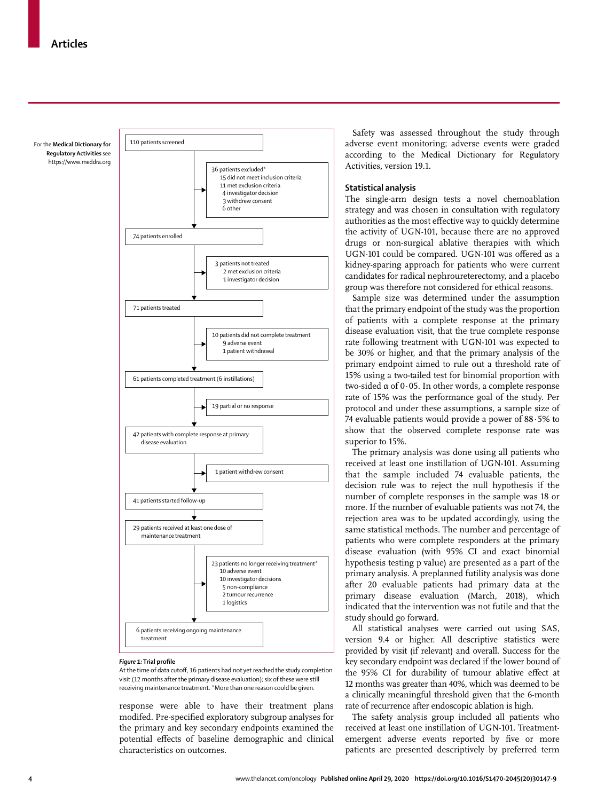For the **Medical Dictionary for Regulatory Activities** see https://www.meddra.org



#### *Figure 1:* **Trial profile**

At the time of data cutoff, 16 patients had not yet reached the study completion visit (12 months after the primary disease evaluation); six of these were still receiving maintenance treatment. \*More than one reason could be given.

response were able to have their treatment plans modifed. Pre-specified exploratory subgroup analyses for the primary and key secondary endpoints examined the potential effects of baseline demographic and clinical characteristics on outcomes.

Safety was assessed throughout the study through adverse event monitoring; adverse events were graded according to the [Medical Dictionary for Regulatory](https://www.meddra.org) [Activities](https://www.meddra.org)**,** version 19.1.

# **Statistical analysis**

The single-arm design tests a novel chemoablation strategy and was chosen in consultation with regulatory authorities as the most effective way to quickly determine the activity of UGN-101, because there are no approved drugs or non-surgical ablative therapies with which UGN-101 could be compared. UGN-101 was offered as a kidney-sparing approach for patients who were current candidates for radical nephroureterectomy, and a placebo group was therefore not considered for ethical reasons.

Sample size was determined under the assumption that the primary endpoint of the study was the proportion of patients with a complete response at the primary disease evaluation visit, that the true complete response rate following treatment with UGN-101 was expected to be 30% or higher, and that the primary analysis of the primary endpoint aimed to rule out a threshold rate of 15% using a two-tailed test for binomial proportion with two-sided α of 0·05. In other words, a complete response rate of 15% was the performance goal of the study. Per protocol and under these assumptions, a sample size of 74 evaluable patients would provide a power of 88·5% to show that the observed complete response rate was superior to 15%.

The primary analysis was done using all patients who received at least one instillation of UGN-101. Assuming that the sample included 74 evaluable patients, the decision rule was to reject the null hypothesis if the number of complete responses in the sample was 18 or more. If the number of evaluable patients was not 74, the rejection area was to be updated accordingly, using the same statistical methods. The number and percentage of patients who were complete responders at the primary disease evaluation (with 95% CI and exact binomial hypothesis testing p value) are presented as a part of the primary analysis. A preplanned futility analysis was done after 20 evaluable patients had primary data at the primary disease evaluation (March, 2018), which indicated that the intervention was not futile and that the study should go forward.

All statistical analyses were carried out using SAS, version 9.4 or higher. All descriptive statistics were provided by visit (if relevant) and overall. Success for the key secondary endpoint was declared if the lower bound of the 95% CI for durability of tumour ablative effect at 12 months was greater than 40%, which was deemed to be a clinically meaningful threshold given that the 6-month rate of recurrence after endoscopic ablation is high.

The safety analysis group included all patients who received at least one instillation of UGN-101. Treatmentemergent adverse events reported by five or more patients are presented descriptively by preferred term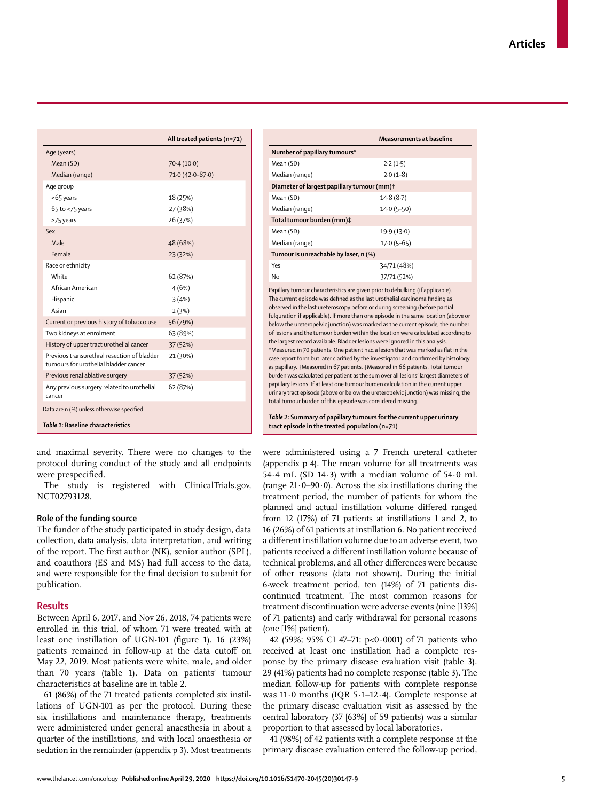|                                                                                      | All treated patients (n=71) |
|--------------------------------------------------------------------------------------|-----------------------------|
| Age (years)                                                                          |                             |
| Mean (SD)                                                                            | 70.4(10.0)                  |
| Median (range)                                                                       | $71.0(42.0 - 87.0)$         |
| Age group                                                                            |                             |
| <65 years                                                                            | 18 (25%)                    |
| $65$ to <75 years                                                                    | 27 (38%)                    |
| $\geq$ 75 years                                                                      | 26 (37%)                    |
| Sex                                                                                  |                             |
| Male                                                                                 | 48 (68%)                    |
| Female                                                                               | 23 (32%)                    |
| Race or ethnicity                                                                    |                             |
| White                                                                                | 62 (87%)                    |
| African American                                                                     | 4(6%)                       |
| Hispanic                                                                             | 3(4%)                       |
| Asian                                                                                | 2(3%)                       |
| Current or previous history of tobacco use                                           | 56 (79%)                    |
| Two kidneys at enrolment                                                             | 63 (89%)                    |
| History of upper tract urothelial cancer                                             | 37 (52%)                    |
| Previous transurethral resection of bladder<br>tumours for urothelial bladder cancer | 21 (30%)                    |
| Previous renal ablative surgery                                                      | 37 (52%)                    |
| Any previous surgery related to urothelial<br>cancer                                 | 62 (87%)                    |
| Data are n (%) unless otherwise specified.                                           |                             |
| Table 1: Baseline characteristics                                                    |                             |

and maximal severity. There were no changes to the protocol during conduct of the study and all endpoints were prespecified.

The study is registered with ClinicalTrials.gov, NCT02793128.

# **Role of the funding source**

The funder of the study participated in study design, data collection, data analysis, data interpretation, and writing of the report. The first author (NK), senior author (SPL), and coauthors (ES and MS) had full access to the data, and were responsible for the final decision to submit for publication.

### **Results**

Between April 6, 2017, and Nov 26, 2018, 74 patients were enrolled in this trial, of whom 71 were treated with at least one instillation of UGN-101 (figure 1). 16 (23%) patients remained in follow-up at the data cutoff on May 22, 2019. Most patients were white, male, and older than 70 years (table 1). Data on patients' tumour characteristics at baseline are in table 2.

61 (86%) of the 71 treated patients completed six instillations of UGN-101 as per the protocol. During these six instillations and maintenance therapy, treatments were administered under general anaesthesia in about a quarter of the instillations, and with local anaesthesia or sedation in the remainder (appendix p 3). Most treatments

|                                                                                                                                                                                                                                                                                                                                                                                                                                                                                                                                                                                                                                                                                                                                                                                                                                                                                                                                                                                                                                                                                                                                                                                                                                                                    | Measurements at baseline |  |  |
|--------------------------------------------------------------------------------------------------------------------------------------------------------------------------------------------------------------------------------------------------------------------------------------------------------------------------------------------------------------------------------------------------------------------------------------------------------------------------------------------------------------------------------------------------------------------------------------------------------------------------------------------------------------------------------------------------------------------------------------------------------------------------------------------------------------------------------------------------------------------------------------------------------------------------------------------------------------------------------------------------------------------------------------------------------------------------------------------------------------------------------------------------------------------------------------------------------------------------------------------------------------------|--------------------------|--|--|
| Number of papillary tumours*                                                                                                                                                                                                                                                                                                                                                                                                                                                                                                                                                                                                                                                                                                                                                                                                                                                                                                                                                                                                                                                                                                                                                                                                                                       |                          |  |  |
| Mean (SD)                                                                                                                                                                                                                                                                                                                                                                                                                                                                                                                                                                                                                                                                                                                                                                                                                                                                                                                                                                                                                                                                                                                                                                                                                                                          | 2.2(1.5)                 |  |  |
| Median (range)                                                                                                                                                                                                                                                                                                                                                                                                                                                                                                                                                                                                                                                                                                                                                                                                                                                                                                                                                                                                                                                                                                                                                                                                                                                     | $2.0(1-8)$               |  |  |
| Diameter of largest papillary tumour (mm)+                                                                                                                                                                                                                                                                                                                                                                                                                                                                                                                                                                                                                                                                                                                                                                                                                                                                                                                                                                                                                                                                                                                                                                                                                         |                          |  |  |
| Mean (SD)                                                                                                                                                                                                                                                                                                                                                                                                                                                                                                                                                                                                                                                                                                                                                                                                                                                                                                                                                                                                                                                                                                                                                                                                                                                          | 14.8(8.7)                |  |  |
| Median (range)                                                                                                                                                                                                                                                                                                                                                                                                                                                                                                                                                                                                                                                                                                                                                                                                                                                                                                                                                                                                                                                                                                                                                                                                                                                     | $14.0(5-50)$             |  |  |
| Total tumour burden (mm)‡                                                                                                                                                                                                                                                                                                                                                                                                                                                                                                                                                                                                                                                                                                                                                                                                                                                                                                                                                                                                                                                                                                                                                                                                                                          |                          |  |  |
| Mean (SD)                                                                                                                                                                                                                                                                                                                                                                                                                                                                                                                                                                                                                                                                                                                                                                                                                                                                                                                                                                                                                                                                                                                                                                                                                                                          | 19.9 (13.0)              |  |  |
| Median (range)                                                                                                                                                                                                                                                                                                                                                                                                                                                                                                                                                                                                                                                                                                                                                                                                                                                                                                                                                                                                                                                                                                                                                                                                                                                     | $17.0(5-65)$             |  |  |
| Tumour is unreachable by laser, n (%)                                                                                                                                                                                                                                                                                                                                                                                                                                                                                                                                                                                                                                                                                                                                                                                                                                                                                                                                                                                                                                                                                                                                                                                                                              |                          |  |  |
| Yes                                                                                                                                                                                                                                                                                                                                                                                                                                                                                                                                                                                                                                                                                                                                                                                                                                                                                                                                                                                                                                                                                                                                                                                                                                                                | 34/71 (48%)              |  |  |
| Nο                                                                                                                                                                                                                                                                                                                                                                                                                                                                                                                                                                                                                                                                                                                                                                                                                                                                                                                                                                                                                                                                                                                                                                                                                                                                 | 37/71 (52%)              |  |  |
| Papillary tumour characteristics are given prior to debulking (if applicable).<br>The current episode was defined as the last urothelial carcinoma finding as<br>observed in the last ureteroscopy before or during screening (before partial<br>fulguration if applicable). If more than one episode in the same location (above or<br>below the ureteropelvic junction) was marked as the current episode, the number<br>of lesions and the tumour burden within the location were calculated according to<br>the largest record available. Bladder lesions were ignored in this analysis.<br>*Measured in 70 patients. One patient had a lesion that was marked as flat in the<br>case report form but later clarified by the investigator and confirmed by histology<br>as papillary. †Measured in 67 patients. ‡Measured in 66 patients. Total tumour<br>burden was calculated per patient as the sum over all lesions' largest diameters of<br>papillary lesions. If at least one tumour burden calculation in the current upper<br>urinary tract episode (above or below the ureteropelvic junction) was missing, the<br>total tumour burden of this episode was considered missing.<br>Table 2: Summary of papillary tumours for the current upper urinary |                          |  |  |

were administered using a 7 French ureteral catheter (appendix p 4). The mean volume for all treatments was 54·4 mL (SD 14·3) with a median volume of 54·0 mL (range  $21.0-90.0$ ). Across the six instillations during the treatment period, the number of patients for whom the planned and actual instillation volume differed ranged from 12 (17%) of 71 patients at instillations 1 and 2, to 16 (26%) of 61 patients at instillation 6. No patient received a different instillation volume due to an adverse event, two patients received a different instillation volume because of technical problems, and all other differences were because of other reasons (data not shown). During the initial 6-week treatment period, ten (14%) of 71 patients discontinued treatment. The most common reasons for treatment discontinuation were adverse events (nine [13%] of 71 patients) and early withdrawal for personal reasons (one [1%] patient).

42 (59%; 95% CI 47–71; p<0·0001) of 71 patients who received at least one instillation had a complete response by the primary disease evaluation visit (table 3). 29 (41%) patients had no complete response (table 3). The median follow-up for patients with complete response was 11·0 months (IQR 5·1–12·4). Complete response at the primary disease evaluation visit as assessed by the central laboratory (37 [63%] of 59 patients) was a similar proportion to that assessed by local laboratories.

41 (98%) of 42 patients with a complete response at the primary disease evaluation entered the follow-up period,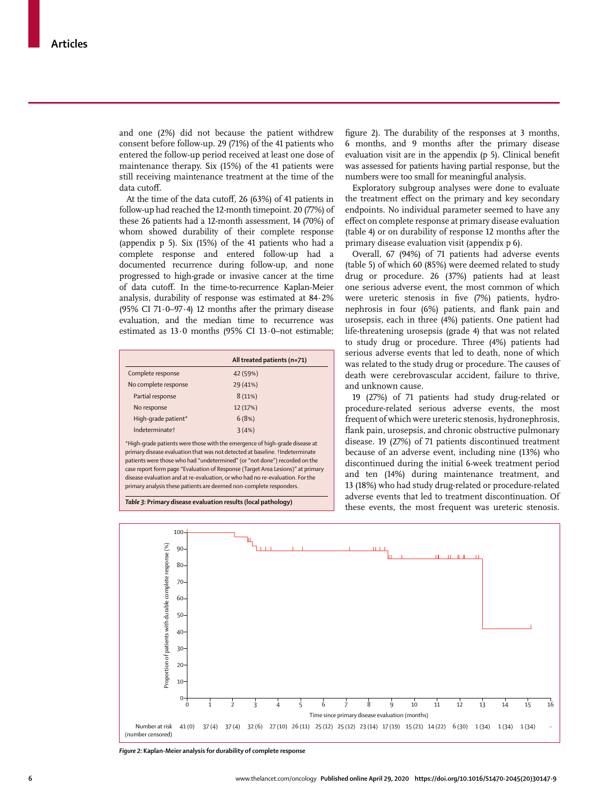and one (2%) did not because the patient withdrew consent before follow-up. 29 (71%) of the 41 patients who entered the follow-up period received at least one dose of maintenance therapy. Six (15%) of the 41 patients were still receiving maintenance treatment at the time of the data cutoff.

At the time of the data cutoff, 26 (63%) of 41 patients in follow-up had reached the 12-month timepoint. 20 (77%) of these 26 patients had a 12-month assessment, 14 (70%) of whom showed durability of their complete response (appendix p 5). Six (15%) of the 41 patients who had a complete response and entered follow-up had a documented recurrence during follow-up, and none progressed to high-grade or invasive cancer at the time of data cutoff. In the time-to-recurrence Kaplan-Meier analysis, durability of response was estimated at 84·2% (95% CI 71·0–97·4) 12 months after the primary disease evaluation, and the median time to recurrence was estimated as 13·0 months (95% CI 13·0–not estimable;

|                            | All treated patients (n=71) |
|----------------------------|-----------------------------|
| Complete response          | 42 (59%)                    |
| No complete response       | 29 (41%)                    |
| Partial response           | 8(11%)                      |
| No response                | 12 (17%)                    |
| High-grade patient*        | 6(8%)                       |
| Indeterminate <sup>+</sup> | 3(4%)                       |

\*High-grade patients were those with the emergence of high-grade disease at primary disease evaluation that was not detected at baseline. †Indeterminate patients were those who had "undetermined" (or "not done") recorded on the case report form page "Evaluation of Response (Target Area Lesions)" at primary disease evaluation and at re-evaluation, or who had no re-evaluation. For the primary analysis these patients are deemed non-complete responders.

*Table 3:* **Primary disease evaluation results (local pathology)**

figure 2). The durability of the responses at 3 months, 6 months, and 9 months after the primary disease evaluation visit are in the appendix (p 5). Clinical benefit was assessed for patients having partial response, but the numbers were too small for meaningful analysis.

Exploratory subgroup analyses were done to evaluate the treatment effect on the primary and key secondary endpoints. No individual parameter seemed to have any effect on complete response at primary disease evaluation (table 4) or on durability of response 12 months after the primary disease evaluation visit (appendix p 6).

Overall, 67 (94%) of 71 patients had adverse events (table 5) of which 60 (85%) were deemed related to study drug or procedure. 26 (37%) patients had at least one serious adverse event, the most common of which were ureteric stenosis in five (7%) patients, hydronephrosis in four (6%) patients, and flank pain and urosepsis, each in three (4%) patients. One patient had life-threatening urosepsis (grade 4) that was not related to study drug or procedure. Three (4%) patients had serious adverse events that led to death, none of which was related to the study drug or procedure. The causes of death were cerebrovascular accident, failure to thrive, and unknown cause.

19 (27%) of 71 patients had study drug-related or procedure-related serious adverse events, the most frequent of which were ureteric stenosis, hydronephrosis, flank pain, urosepsis, and chronic obstructive pulmonary disease. 19 (27%) of 71 patients discontinued treatment because of an adverse event, including nine (13%) who discontinued during the initial 6-week treatment period and ten (14%) during maintenance treatment, and 13 (18%) who had study drug-related or procedure-related adverse events that led to treatment discontinuation. Of these events, the most frequent was ureteric stenosis.



*Figure 2:* **Kaplan-Meier analysis for durability of complete response**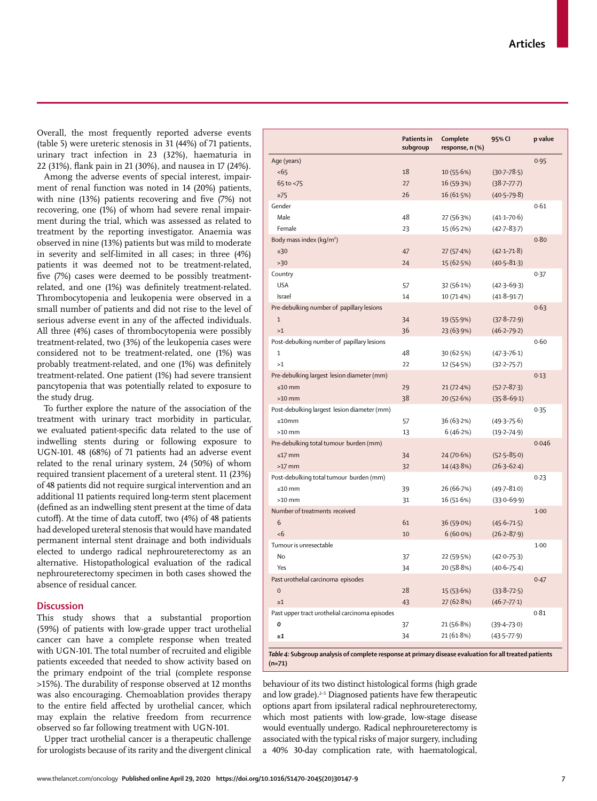www.thelancet.com/oncology **Published online April 29, 2020 https://doi.org/10.1016/S1470-2045(20)30147-9 7**

Overall, the most frequently reported adverse events (table 5) were ureteric stenosis in 31 (44%) of 71 patients, urinary tract infection in 23 (32%), haematuria in 22 (31%), flank pain in 21 (30%), and nausea in 17 (24%).

Among the adverse events of special interest, impairment of renal function was noted in 14 (20%) patients, with nine (13%) patients recovering and five (7%) not recovering, one (1%) of whom had severe renal impairment during the trial, which was assessed as related to treatment by the reporting investigator. Anaemia was observed in nine (13%) patients but was mild to moderate in severity and self-limited in all cases; in three (4%) patients it was deemed not to be treatment-related, five (7%) cases were deemed to be possibly treatmentrelated, and one (1%) was definitely treatment-related. Thrombocytopenia and leukopenia were observed in a small number of patients and did not rise to the level of serious adverse event in any of the affected individuals. All three (4%) cases of thrombocytopenia were possibly treatment-related, two (3%) of the leukopenia cases were considered not to be treatment-related, one (1%) was probably treatment-related, and one (1%) was definitely treatment-related. One patient (1%) had severe transient pancytopenia that was potentially related to exposure to the study drug.

To further explore the nature of the association of the treatment with urinary tract morbidity in particular, we evaluated patient-specific data related to the use of indwelling stents during or following exposure to UGN-101. 48 (68%) of 71 patients had an adverse event related to the renal urinary system, 24 (50%) of whom required transient placement of a ureteral stent. 11 (23%) of 48 patients did not require surgical intervention and an additional 11 patients required long-term stent placement (defined as an indwelling stent present at the time of data cutoff). At the time of data cutoff, two (4%) of 48 patients had developed ureteral stenosis that would have mandated permanent internal stent drainage and both individuals elected to undergo radical nephroureterectomy as an alternative. Histopathological evaluation of the radical nephroureterectomy specimen in both cases showed the absence of residual cancer.

# **Discussion**

This study shows that a substantial proportion (59%) of patients with low-grade upper tract urothelial cancer can have a complete response when treated with UGN-101. The total number of recruited and eligible patients exceeded that needed to show activity based on the primary endpoint of the trial (complete response >15%). The durability of response observed at 12 months was also encouraging. Chemoablation provides therapy to the entire field affected by urothelial cancer, which may explain the relative freedom from recurrence observed so far following treatment with UGN-101.

Upper tract urothelial cancer is a therapeutic challenge for urologists because of its rarity and the divergent clinical

|                                                | Patients in<br>subgroup | Complete<br>response, n (%)              | 95% CI              | p value |
|------------------------------------------------|-------------------------|------------------------------------------|---------------------|---------|
| Age (years)                                    |                         |                                          |                     | 0.95    |
| <65                                            | 18                      | 10(55.6%)                                | $(30.7 - 78.5)$     |         |
| 65 to <75                                      | 27                      | 16 (59.3%)                               | $(38.7 - 77.7)$     |         |
| $\geq 75$                                      | 26                      | 16 (61.5%)                               | $(40.5 - 79.8)$     |         |
| Gender                                         |                         |                                          |                     | 0.61    |
| Male                                           | 48                      | 27 (56.3%)                               | $(41.1 - 70.6)$     |         |
| Female                                         | 23                      | 15 (65.2%)                               | $(42.7 - 83.7)$     |         |
| Body mass index (kg/m <sup>2</sup> )           |                         |                                          |                     | 0.80    |
| $\leq 30$                                      | 47                      | 27 (57.4%)                               | $(42.1 - 71.8)$     |         |
| >30                                            | 24                      | 15 (62.5%)                               | $(40.5 - 81.3)$     |         |
| Country                                        |                         |                                          |                     | 0.37    |
| <b>USA</b>                                     | 57                      | 32 (56.1%)                               | $(42.3 - 69.3)$     |         |
| Israel                                         | 14                      | 10 (71.4%)                               | $(41.8 - 91.7)$     |         |
| Pre-debulking number of papillary lesions      |                         |                                          |                     | 0.63    |
| $1\,$                                          | 34                      | 19 (55.9%)                               | $(37.8 - 72.9)$     |         |
| >1                                             | 36                      | 23 (63.9%)                               | $(46.2 - 79.2)$     |         |
| Post-debulking number of papillary lesions     |                         |                                          |                     | 0.60    |
| 1                                              | 48                      |                                          |                     |         |
| >1                                             | 22                      | 30 (62.5%)                               | $(47.3 - 76.1)$     |         |
|                                                |                         | 12 (54.5%)                               | $(32.2 - 75.7)$     |         |
| Pre-debulking largest lesion diameter (mm)     |                         |                                          |                     | 0.13    |
| ≤10 mm                                         | 29                      | 21 (72.4%)                               | $(52.7 - 87.3)$     |         |
| $>10$ mm                                       | 38                      | 20 (52.6%)                               | $(35.8 - 69.1)$     |         |
| Post-debulking largest lesion diameter (mm)    |                         |                                          |                     | 0.35    |
| ≤10mm                                          | 57                      | 36 (63.2%)                               | $(49.3 - 75.6)$     |         |
| $>10$ mm                                       | 13                      | 6(46.2%)                                 | $(19.2 - 74.9)$     |         |
| Pre-debulking total tumour burden (mm)         |                         |                                          |                     | 0.046   |
| $\leq$ 17 mm                                   | 34                      | 24 (70.6%)                               | $(52.5 - 85.0)$     |         |
| $>17$ mm                                       | 32                      | 14 (43.8%)                               | $(26.3 - 62.4)$     |         |
| Post-debulking total tumour burden (mm)        |                         |                                          |                     | 0.23    |
| ≤10 mm                                         | 39                      | 26 (66-7%)                               | $(49 - 7 - 81 - 0)$ |         |
| $>10$ mm                                       | 31                      | 16 (51.6%)                               | $(33.0 - 69.9)$     |         |
| Number of treatments received                  |                         |                                          |                     | $1-00$  |
| 6                                              | 61                      | 36 (59.0%)                               | $(45.6 - 71.5)$     |         |
| <6                                             | 10                      | $6(60.0\%)$                              | $(26.2 - 87.9)$     |         |
| Tumour is unresectable                         |                         |                                          |                     | 1.00    |
| No                                             | 37                      | 22 (59.5%)                               | $(42.0 - 75.3)$     |         |
| Yes                                            | 34                      | 20 (58.8%)                               | $(40.6 - 75.4)$     |         |
| Past urothelial carcinoma episodes             |                         |                                          |                     | 0.47    |
| $\mathbf 0$                                    | 28                      | 15 (53.6%)                               | $(33.8 - 72.5)$     |         |
| $\geq 1$                                       | 43                      | 27 (62.8%)                               | $(46.7 - 77.1)$     |         |
| Past upper tract urothelial carcinoma episodes |                         |                                          |                     | 0.81    |
| 0                                              | 37                      | 21 (56.8%)                               | $(39.4 - 73.0)$     |         |
| $\geq 1$                                       | 34                      | 21 (61.8%)                               | $(43.5 - 77.9)$     |         |
| able 4. Cul                                    |                         | dicasco qualuption for all trasted patio |                     |         |

*Table 4:* **Subgroup analysis of complete response at primary disease evaluation for all treated patients (n=71)**

behaviour of its two distinct histological forms (high grade and low grade).<sup>2-5</sup> Diagnosed patients have few therapeutic options apart from ipsilateral radical nephroureterectomy, which most patients with low-grade, low-stage disease would eventually undergo. Radical nephroureterectomy is associated with the typical risks of major surgery, including a 40% 30-day complication rate, with haematological,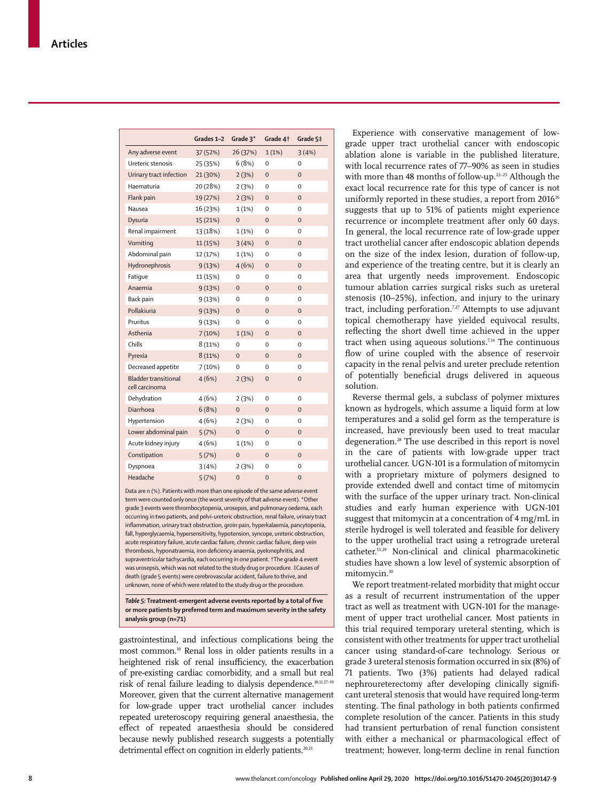|                                               | Grades 1-2 Grade 3* |                | Grade 4t       | Grade 5‡       |
|-----------------------------------------------|---------------------|----------------|----------------|----------------|
| Any adverse event                             | 37 (52%)            | 26 (37%)       | 1(1%)          | 3(4%)          |
| Ureteric stenosis                             | 25 (35%)            | 6(8%)          | $\Omega$       | $\Omega$       |
| Urinary tract infection                       | 21 (30%)            | 2(3%)          | $\overline{0}$ | $\overline{0}$ |
| Haematuria                                    | 20 (28%)            | 2(3%)          | 0              | 0              |
| Flank pain                                    | 19 (27%)            | 2(3%)          | $\mathbf{0}$   | $\mathbf 0$    |
| Nausea                                        | 16 (23%)            | 1(1%)          | 0              | 0              |
| Dysuria                                       | 15 (21%)            | $\mathbf{0}$   | $\mathbf 0$    | $\mathbf 0$    |
| Renal impairment                              | 13 (18%)            | 1(1%)          | 0              | 0              |
| Vomiting                                      | 11 (15%)            | 3(4%)          | $\mathbf{0}$   | $\Omega$       |
| Abdominal pain                                | 12 (17%)            | 1(1%)          | 0              | 0              |
| Hydronephrosis                                | 9(13%)              | 4(6%)          | $\mathbf 0$    | $\mathbf 0$    |
| Fatique                                       | 11 (15%)            | $\Omega$       | $\Omega$       | $\Omega$       |
| Anaemia                                       | 9(13%)              | $\overline{0}$ | $\overline{0}$ | $\overline{0}$ |
| Back pain                                     | 9(13%)              | 0              | 0              | 0              |
| Pollakiuria                                   | 9(13%)              | $\mathbf 0$    | $\mathbf{0}$   | $\mathbf 0$    |
| Pruritus                                      | 9(13%)              | 0              | $\Omega$       | 0              |
| Asthenia                                      | 7(10%)              | 1(1%)          | $\overline{0}$ | $\overline{0}$ |
| Chills                                        | 8(11%)              | 0              | 0              | 0              |
| Pyrexia                                       | 8(11%)              | $\mathbf{0}$   | $\Omega$       | $\Omega$       |
| Decreased appetite                            | 7(10%)              | 0              | 0              | 0              |
| <b>Bladder transitional</b><br>cell carcinoma | 4(6%)               | 2(3%)          | $\mathbf 0$    | $\mathbf 0$    |
| Dehydration                                   | 4(6%)               | 2(3%)          | 0              | $\Omega$       |
| Diarrhoea                                     | 6(8%)               | $\overline{0}$ | $\overline{0}$ | $\overline{0}$ |
| Hypertension                                  | 4(6%)               | 2(3%)          | 0              | 0              |
| Lower abdominal pain                          | 5(7%)               | $\mathbf{0}$   | $\mathbf{0}$   | $\mathbf{0}$   |
| Acute kidney injury                           | 4(6%)               | 1(1%)          | 0              | 0              |
| Constipation                                  | 5(7%)               | $\overline{0}$ | $\overline{0}$ | $\overline{0}$ |
| Dyspnoea                                      | 3(4%)               | 2(3%)          | 0              | 0              |
| Headache                                      | 5(7%)               | 0              | $\overline{0}$ | $\overline{0}$ |

Data are n (%). Patients with more than one episode of the same adverse event term were counted only once (the worst severity of that adverse event). \*Other grade 3 events were thrombocytopenia, urosepsis, and pulmonary oedema, each occurring in two patients, and pelvi-ureteric obstruction, renal failure, urinary tract inflammation, urinary tract obstruction, groin pain, hyperkalaemia, pancytopenia, fall, hyperglycaemia, hypersensitivity, hypotension, syncope, ureteric obstruction, acute respiratory failure, acute cardiac failure, chronic cardiac failure, deep vein thrombosis, hyponatraemia, iron deficiency anaemia, pyelonephritis, and supraventricular tachycardia, each occurring in one patient. †The grade 4 event was urosepsis, which was not related to the study drug or procedure. ‡Causes of death (grade 5 events) were cerebrovascular accident, failure to thrive, and unknown, none of which were related to the study drug or the procedure.

*Table 5:* **Treatment-emergent adverse events reported by a total of five or more patients by preferred term and maximum severity in the safety analysis group (n=71)**

gastrointestinal, and infectious complications being the most common.10 Renal loss in older patients results in a heightened risk of renal insufficiency, the exacerbation of pre-existing cardiac comorbidity, and a small but real risk of renal failure leading to dialysis dependence.10,11,17–19 Moreover, given that the current alternative management for low-grade upper tract urothelial cancer includes repeated ureteroscopy requiring general anaesthesia, the effect of repeated anaesthesia should be considered because newly published research suggests a potentially detrimental effect on cognition in elderly patients.<sup>20,21</sup>

Experience with conservative management of lowgrade upper tract urothelial cancer with endoscopic ablation alone is variable in the published literature, with local recurrence rates of 77–90% as seen in studies with more than 48 months of follow-up.<sup>22-25</sup> Although the exact local recurrence rate for this type of cancer is not uniformly reported in these studies, a report from 2016<sup>26</sup> suggests that up to 51% of patients might experience recurrence or incomplete treatment after only 60 days. In general, the local recurrence rate of low-grade upper tract urothelial cancer after endoscopic ablation depends on the size of the index lesion, duration of follow-up, and experience of the treating centre, but it is clearly an area that urgently needs improvement. Endoscopic tumour ablation carries surgical risks such as ureteral stenosis (10–25%), infection, and injury to the urinary tract, including perforation.<sup>7,27</sup> Attempts to use adjuvant topical chemotherapy have yielded equivocal results, reflecting the short dwell time achieved in the upper tract when using aqueous solutions.<sup>7,14</sup> The continuous flow of urine coupled with the absence of reservoir capacity in the renal pelvis and ureter preclude retention of potentially beneficial drugs delivered in aqueous solution.

Reverse thermal gels, a subclass of polymer mixtures known as hydrogels, which assume a liquid form at low temperatures and a solid gel form as the temperature is increased, have previously been used to treat macular degeneration.28 The use described in this report is novel in the care of patients with low-grade upper tract urothelial cancer. UGN-101 is a formulation of mitomycin with a proprietary mixture of polymers designed to provide extended dwell and contact time of mitomycin with the surface of the upper urinary tract. Non-clinical studies and early human experience with UGN-101 suggest that mitomycin at a concentration of 4 mg/mL in sterile hydrogel is well tolerated and feasible for delivery to the upper urothelial tract using a retrograde ureteral catheter.15,29 Non-clinical and clinical pharmacokinetic studies have shown a low level of systemic absorption of mitomycin.<sup>30</sup>

We report treatment-related morbidity that might occur as a result of recurrent instrumentation of the upper tract as well as treatment with UGN-101 for the management of upper tract urothelial cancer. Most patients in this trial required temporary ureteral stenting, which is consistent with other treatments for upper tract urothelial cancer using standard-of-care technology. Serious or grade 3 ureteral stenosis formation occurred in six (8%) of 71 patients. Two (3%) patients had delayed radical nephroureterectomy after developing clinically significant ureteral stenosis that would have required long-term stenting. The final pathology in both patients confirmed complete resolution of the cancer. Patients in this study had transient perturbation of renal function consistent with either a mechanical or pharmacological effect of treatment; however, long-term decline in renal function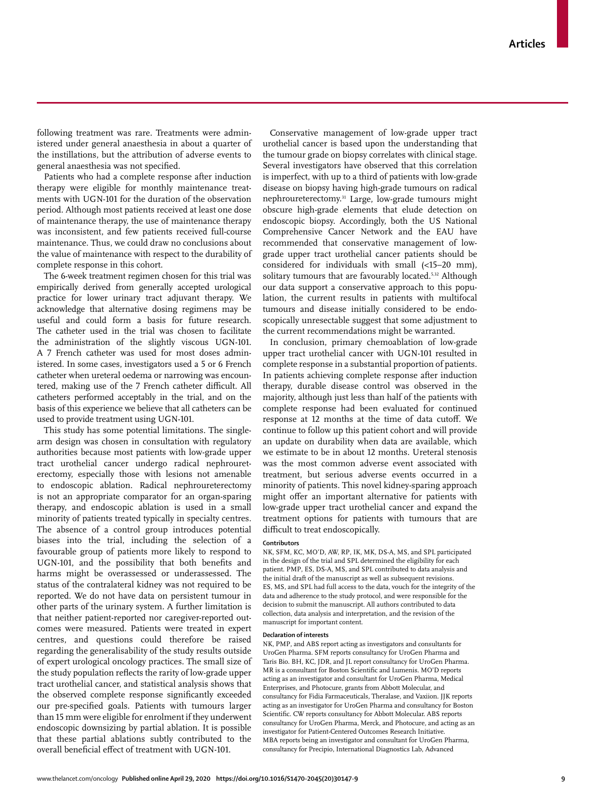following treatment was rare. Treatments were administered under general anaesthesia in about a quarter of the instillations, but the attribution of adverse events to general anaesthesia was not specified.

Patients who had a complete response after induction therapy were eligible for monthly maintenance treatments with UGN-101 for the duration of the observation period. Although most patients received at least one dose of maintenance therapy, the use of maintenance therapy was inconsistent, and few patients received full-course maintenance. Thus, we could draw no conclusions about the value of maintenance with respect to the durability of complete response in this cohort.

The 6-week treatment regimen chosen for this trial was empirically derived from generally accepted urological practice for lower urinary tract adjuvant therapy. We acknowledge that alternative dosing regimens may be useful and could form a basis for future research. The catheter used in the trial was chosen to facilitate the administration of the slightly viscous UGN-101. A 7 French catheter was used for most doses administered. In some cases, investigators used a 5 or 6 French catheter when ureteral oedema or narrowing was encountered, making use of the 7 French catheter difficult. All catheters performed acceptably in the trial, and on the basis of this experience we believe that all catheters can be used to provide treatment using UGN-101.

This study has some potential limitations. The singlearm design was chosen in consultation with regulatory authorities because most patients with low-grade upper tract urothelial cancer undergo radical nephroureterectomy, especially those with lesions not amenable to endoscopic ablation. Radical nephroureterectomy is not an appropriate comparator for an organ-sparing therapy, and endoscopic ablation is used in a small minority of patients treated typically in specialty centres. The absence of a control group introduces potential biases into the trial, including the selection of a favourable group of patients more likely to respond to UGN-101, and the possibility that both benefits and harms might be overassessed or underassessed. The status of the contralateral kidney was not required to be reported. We do not have data on persistent tumour in other parts of the urinary system. A further limitation is that neither patient-reported nor caregiver-reported outcomes were measured. Patients were treated in expert centres, and questions could therefore be raised regarding the generalisability of the study results outside of expert urological oncology practices. The small size of the study population reflects the rarity of low-grade upper tract urothelial cancer, and statistical analysis shows that the observed complete response significantly exceeded our pre-specified goals. Patients with tumours larger than 15 mm were eligible for enrolment if they underwent endoscopic downsizing by partial ablation. It is possible that these partial ablations subtly contributed to the overall beneficial effect of treatment with UGN-101.

Conservative management of low-grade upper tract urothelial cancer is based upon the understanding that the tumour grade on biopsy correlates with clinical stage. Several investigators have observed that this correlation is imperfect, with up to a third of patients with low-grade disease on biopsy having high-grade tumours on radical nephroureterectomy.31 Large, low-grade tumours might obscure high-grade elements that elude detection on endoscopic biopsy. Accordingly, both the US National Comprehensive Cancer Network and the EAU have recommended that conservative management of lowgrade upper tract urothelial cancer patients should be considered for individuals with small (<15–20 mm), solitary tumours that are favourably located.<sup>5,32</sup> Although our data support a conservative approach to this population, the current results in patients with multifocal tumours and disease initially considered to be endoscopically unresectable suggest that some adjustment to the current recommendations might be warranted.

In conclusion, primary chemoablation of low-grade upper tract urothelial cancer with UGN-101 resulted in complete response in a substantial proportion of patients. In patients achieving complete response after induction therapy, durable disease control was observed in the majority, although just less than half of the patients with complete response had been evaluated for continued response at 12 months at the time of data cutoff. We continue to follow up this patient cohort and will provide an update on durability when data are available, which we estimate to be in about 12 months. Ureteral stenosis was the most common adverse event associated with treatment, but serious adverse events occurred in a minority of patients. This novel kidney-sparing approach might offer an important alternative for patients with low-grade upper tract urothelial cancer and expand the treatment options for patients with tumours that are difficult to treat endoscopically.

# **Contributors**

NK, SFM, KC, MO'D, AW, RP, IK, MK, DS-A, MS, and SPL participated in the design of the trial and SPL determined the eligibility for each patient. PMP, ES, DS-A, MS, and SPL contributed to data analysis and the initial draft of the manuscript as well as subsequent revisions. ES, MS, and SPL had full access to the data, vouch for the integrity of the data and adherence to the study protocol, and were responsible for the decision to submit the manuscript. All authors contributed to data collection, data analysis and interpretation, and the revision of the manuscript for important content.

#### **Declaration of interests**

NK, PMP, and ABS report acting as investigators and consultants for UroGen Pharma. SFM reports consultancy for UroGen Pharma and Taris Bio. BH, KC, JDR, and JL report consultancy for UroGen Pharma. MR is a consultant for Boston Scientific and Lumenis. MO'D reports acting as an investigator and consultant for UroGen Pharma, Medical Enterprises, and Photocure, grants from Abbott Molecular, and consultancy for Fidia Farmaceuticals, Theralase, and Vaxiion. JJK reports acting as an investigator for UroGen Pharma and consultancy for Boston Scientific. CW reports consultancy for Abbott Molecular. ABS reports consultancy for UroGen Pharma, Merck, and Photocure, and acting as an investigator for Patient-Centered Outcomes Research Initiative. MBA reports being an investigator and consultant for UroGen Pharma, consultancy for Precipio, International Diagnostics Lab, Advanced